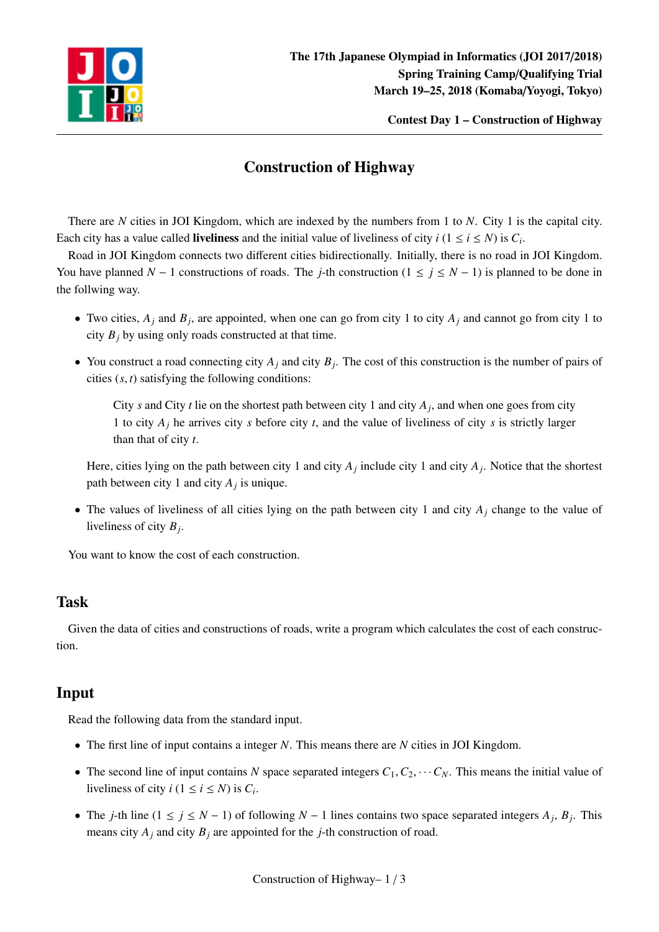

Contest Day 1 – Construction of Highway

## Construction of Highway

There are *N* cities in JOI Kingdom, which are indexed by the numbers from 1 to *N*. City 1 is the capital city. Each city has a value called **liveliness** and the initial value of liveliness of city  $i$  ( $1 \le i \le N$ ) is  $C_i$ .

Road in JOI Kingdom connects two different cities bidirectionally. Initially, there is no road in JOI Kingdom. You have planned  $N - 1$  constructions of roads. The *j*-th construction ( $1 \le j \le N - 1$ ) is planned to be done in the follwing way.

- Two cities,  $A_j$  and  $B_j$ , are appointed, when one can go from city 1 to city  $A_j$  and cannot go from city 1 to city  $B_i$  by using only roads constructed at that time.
- You construct a road connecting city  $A_j$  and city  $B_j$ . The cost of this construction is the number of pairs of cities (*s*, *t*) satisfying the following conditions:

City *s* and City *t* lie on the shortest path between city 1 and city  $A_j$ , and when one goes from city 1 to city *A<sup>j</sup>* he arrives city *s* before city *t*, and the value of liveliness of city *s* is strictly larger than that of city *t*.

Here, cities lying on the path between city 1 and city *A<sup>j</sup>* include city 1 and city *A<sup>j</sup>* . Notice that the shortest path between city 1 and city *A<sup>j</sup>* is unique.

• The values of liveliness of all cities lying on the path between city 1 and city *A<sup>j</sup>* change to the value of liveliness of city *B<sup>j</sup>* .

You want to know the cost of each construction.

### Task

Given the data of cities and constructions of roads, write a program which calculates the cost of each construction.

### Input

Read the following data from the standard input.

- The first line of input contains a integer *N*. This means there are *N* cities in JOI Kingdom.
- The second line of input contains *N* space separated integers  $C_1, C_2, \cdots C_N$ . This means the initial value of liveliness of city  $i$  ( $1 \le i \le N$ ) is  $C_i$ .
- The *j*-th line  $(1 \le j \le N 1)$  of following  $N 1$  lines contains two space separated integers  $A_j$ ,  $B_j$ . This means city  $A_j$  and city  $B_j$  are appointed for the *j*-th construction of road.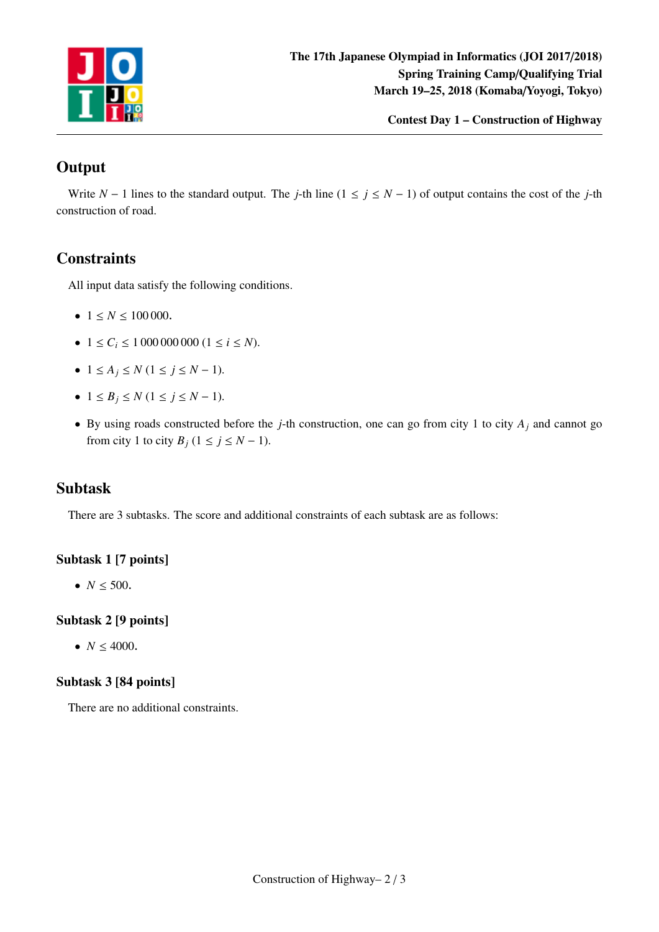

Contest Day 1 – Construction of Highway

# **Output**

Write  $N - 1$  lines to the standard output. The *j*-th line ( $1 \le j \le N - 1$ ) of output contains the cost of the *j*-th construction of road.

### **Constraints**

All input data satisfy the following conditions.

- $1 \le N \le 100000$ .
- $1 \le C_i \le 10000000000 (1 \le i \le N)$ .
- $1 \leq A_i \leq N (1 \leq i \leq N-1).$
- $\bullet$  1 ≤ *B*<sub>*j*</sub> ≤ *N* (1 ≤ *j* ≤ *N* − 1).
- By using roads constructed before the *j*-th construction, one can go from city 1 to city  $A_j$  and cannot go from city 1 to city  $B_j$  (1 ≤ *j* ≤ *N* − 1).

#### Subtask

There are 3 subtasks. The score and additional constraints of each subtask are as follows:

#### Subtask 1 [7 points]

•  $N \le 500$ .

#### Subtask 2 [9 points]

•  $N \leq 4000$ .

#### Subtask 3 [84 points]

There are no additional constraints.